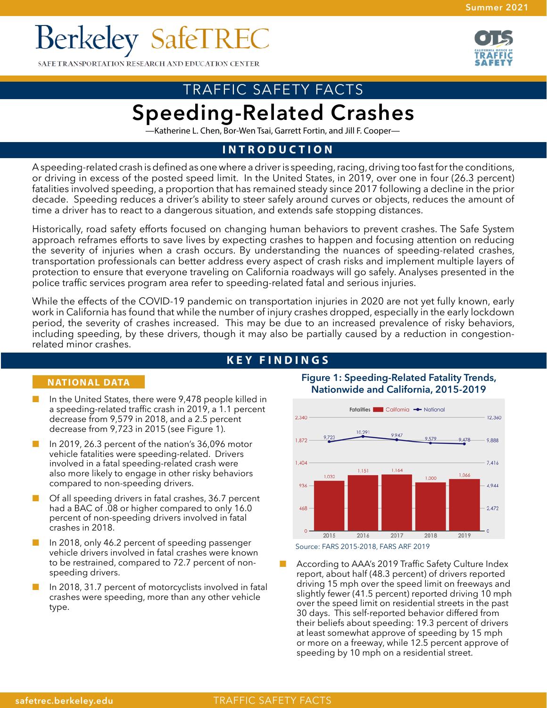# **Berkeley SafeTREC**

SAFE TRANSPORTATION RESEARCH AND EDUCATION CENTER



# TRAFFIC SAFETY FACTS **Speeding-Related Crashes**

—Katherine L. Chen, Bor-Wen Tsai, Garrett Fortin, and Jill F. Cooper—

# **INTRODUCTION**

A speeding-related crash is defined as one where a driver is speeding, racing, driving too fast for the conditions, or driving in excess of the posted speed limit. In the United States, in 2019, over one in four (26.3 percent) fatalities involved speeding, a proportion that has remained steady since 2017 following a decline in the prior decade. Speeding reduces a driver's ability to steer safely around curves or objects, reduces the amount of time a driver has to react to a dangerous situation, and extends safe stopping distances.

Historically, road safety efforts focused on changing human behaviors to prevent crashes. The Safe System approach reframes efforts to save lives by expecting crashes to happen and focusing attention on reducing the severity of injuries when a crash occurs. By understanding the nuances of speeding-related crashes, transportation professionals can better address every aspect of crash risks and implement multiple layers of protection to ensure that everyone traveling on California roadways will go safely. Analyses presented in the police traffic services program area refer to speeding-related fatal and serious injuries.

While the effects of the COVID-19 pandemic on transportation injuries in 2020 are not yet fully known, early work in California has found that while the number of injury crashes dropped, especially in the early lockdown period, the severity of crashes increased. This may be due to an increased prevalence of risky behaviors, including speeding, by these drivers, though it may also be partially caused by a reduction in congestionrelated minor crashes.

# **KEY FINDINGS**

#### **NATIONAL DATA**

- In the United States, there were 9,478 people killed in a speeding-related traffic crash in 2019, a 1.1 percent decrease from 9,579 in 2018, and a 2.5 percent decrease from 9,723 in 2015 (see Figure 1).
- In 2019, 26.3 percent of the nation's 36,096 motor vehicle fatalities were speeding-related. Drivers involved in a fatal speeding-related crash were also more likely to engage in other risky behaviors compared to non-speeding drivers.
- Of all speeding drivers in fatal crashes, 36.7 percent had a BAC of .08 or higher compared to only 16.0 percent of non-speeding drivers involved in fatal crashes in 2018.
- In 2018, only 46.2 percent of speeding passenger vehicle drivers involved in fatal crashes were known to be restrained, compared to 72.7 percent of nonspeeding drivers.
- In 2018, 31.7 percent of motorcyclists involved in fatal crashes were speeding, more than any other vehicle type.

#### **Figure 1: Speeding-Related Fatality Trends, Nationwide and California, 2015-2019**



Source: FARS 2015-2018, FARS ARF 2019

According to AAA's 2019 Traffic Safety Culture Index report, about half (48.3 percent) of drivers reported driving 15 mph over the speed limit on freeways and slightly fewer (41.5 percent) reported driving 10 mph over the speed limit on residential streets in the past 30 days. This self-reported behavior differed from their beliefs about speeding: 19.3 percent of drivers at least somewhat approve of speeding by 15 mph or more on a freeway, while 12.5 percent approve of speeding by 10 mph on a residential street.

### **[safetrec.berkeley.edu](https://safetrec.berkeley.edu/)** TRAFFIC SAFETY FACTS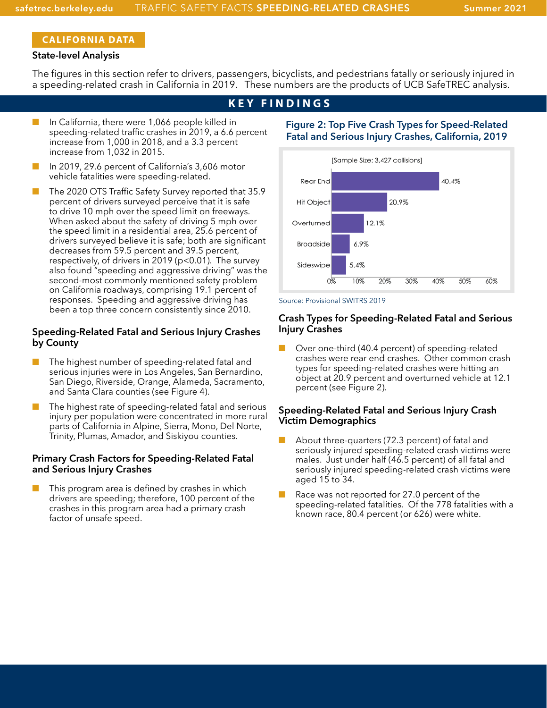# **CALIFORNIA DATA**

#### **State-level Analysis**

The figures in this section refer to drivers, passengers, bicyclists, and pedestrians fatally or seriously injured in a speeding-related crash in California in 2019. These numbers are the products of UCB SafeTREC analysis.

## **KEY FINDINGS**

- In California, there were 1,066 people killed in speeding-related traffic crashes in 2019, a 6.6 percent increase from 1,000 in 2018, and a 3.3 percent increase from 1,032 in 2015.
- In 2019, 29.6 percent of California's 3,606 motor vehicle fatalities were speeding-related.
- The 2020 OTS Traffic Safety Survey reported that 35.9 percent of drivers surveyed perceive that it is safe to drive 10 mph over the speed limit on freeways. When asked about the safety of driving 5 mph over the speed limit in a residential area, 25.6 percent of drivers surveyed believe it is safe; both are significant decreases from 59.5 percent and 39.5 percent, respectively, of drivers in 2019 (p<0.01). The survey also found "speeding and aggressive driving" was the second-most commonly mentioned safety problem on California roadways, comprising 19.1 percent of responses. Speeding and aggressive driving has been a top three concern consistently since 2010.

#### **Speeding-Related Fatal and Serious Injury Crashes by County**

- The highest number of speeding-related fatal and serious injuries were in Los Angeles, San Bernardino, San Diego, Riverside, Orange, Alameda, Sacramento, and Santa Clara counties (see Figure 4).
- The highest rate of speeding-related fatal and serious injury per population were concentrated in more rural parts of California in Alpine, Sierra, Mono, Del Norte, Trinity, Plumas, Amador, and Siskiyou counties.

#### **Primary Crash Factors for Speeding-Related Fatal and Serious Injury Crashes**

This program area is defined by crashes in which drivers are speeding; therefore, 100 percent of the crashes in this program area had a primary crash factor of unsafe speed.

#### **Figure 2: Top Five Crash Types for Speed-Related Fatal and Serious Injury Crashes, California, 2019**



#### Source: Provisional SWITRS 2019

#### **Crash Types for Speeding-Related Fatal and Serious Injury Crashes**

Over one-third (40.4 percent) of speeding-related crashes were rear end crashes. Other common crash types for speeding-related crashes were hitting an object at 20.9 percent and overturned vehicle at 12.1 percent (see Figure 2).

#### **Speeding-Related Fatal and Serious Injury Crash Victim Demographics**

- About three-quarters (72.3 percent) of fatal and seriously injured speeding-related crash victims were males. Just under half (46.5 percent) of all fatal and seriously injured speeding-related crash victims were aged 15 to 34.
- Race was not reported for 27.0 percent of the speeding-related fatalities. Of the 778 fatalities with a known race, 80.4 percent (or 626) were white.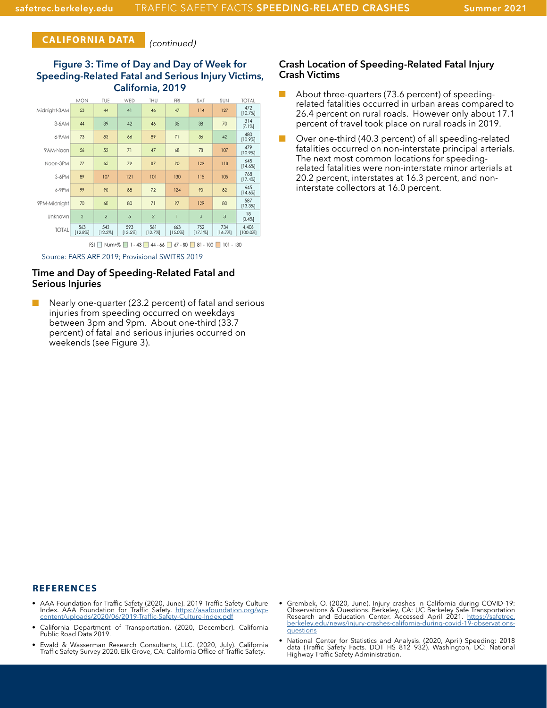#### **CALIFORNIA DATA**

#### *(continued)*

#### **Figure 3: Time of Day and Day of Week for Speeding-Related Fatal and Serious Injury Victims, California, 2019**



Source: FARS ARF 2019; Provisional SWITRS 2019

#### **Time and Day of Speeding-Related Fatal and Serious Injuries**

Nearly one-quarter (23.2 percent) of fatal and serious injuries from speeding occurred on weekdays between 3pm and 9pm. About one-third (33.7 percent) of fatal and serious injuries occurred on weekends (see Figure 3).

#### **Crash Location of Speeding-Related Fatal Injury Crash Victims**

- About three-quarters (73.6 percent) of speedingrelated fatalities occurred in urban areas compared to 26.4 percent on rural roads. However only about 17.1 percent of travel took place on rural roads in 2019.
- Over one-third (40.3 percent) of all speeding-related fatalities occurred on non-interstate principal arterials. The next most common locations for speedingrelated fatalities were non-interstate minor arterials at 20.2 percent, interstates at 16.3 percent, and noninterstate collectors at 16.0 percent.

#### **REFERENCES**

- AAA Foundation for Traffic Safety (2020, June). 2019 Traffic Safety Culture Index. AAA Foundation for Traffic Safety. [https://aaafoundation.org/wp-](https://aaafoundation.org/wp-content/uploads/2020/06/2019-Traffic-Safety-Culture-Index.pdf)[content/uploads/2020/06/2019-Traffic-Safety-Culture-Index.pdf](https://aaafoundation.org/wp-content/uploads/2020/06/2019-Traffic-Safety-Culture-Index.pdf)
- California Department of Transportation. (2020, December). California Public Road Data 2019.
- Ewald & Wasserman Research Consultants, LLC. (2020, July). California Traffic Safety Survey 2020. Elk Grove, CA: California Office of Traffic Safety.
- Grembek, O. (2020, June). Injury crashes in California during COVID-19: Observations & Questions. Berkeley, CA: UC Berkeley Safe Transportation<br>Research and Education Center. Accessed April 2021. <u>[https://safetrec.](https://safetrec.berkeley.edu/news/injury-crashes-california-during-covid-19-observations-questions)</u> [berkeley.edu/news/injury-crashes-california-during-covid-19-observations](https://safetrec.berkeley.edu/news/injury-crashes-california-during-covid-19-observations-questions)[questions](https://safetrec.berkeley.edu/news/injury-crashes-california-during-covid-19-observations-questions)
- National Center for Statistics and Analysis. (2020, April) Speeding: 2018 data (Traffic Safety Facts. DOT HS 812 932). Washington, DC: National Highway Traffic Safety Administration.